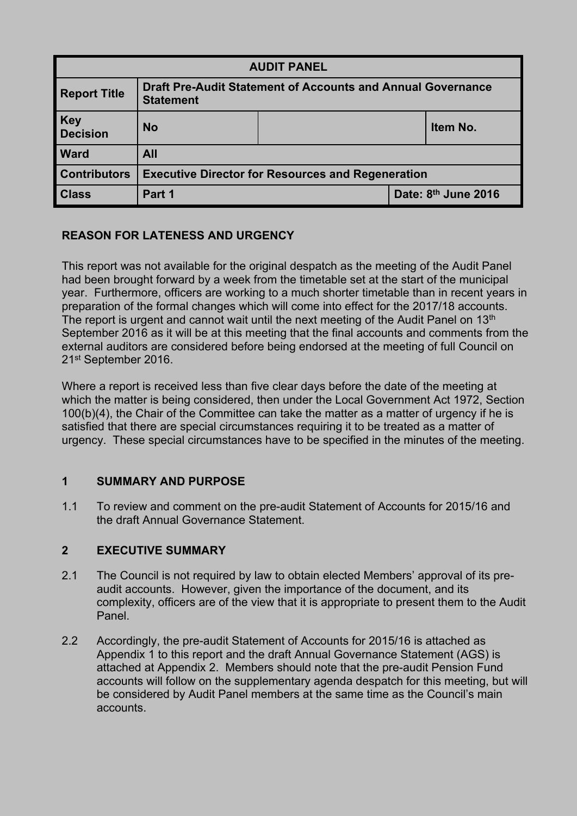| <b>AUDIT PANEL</b>      |                                                                                        |  |                     |          |
|-------------------------|----------------------------------------------------------------------------------------|--|---------------------|----------|
| <b>Report Title</b>     | <b>Draft Pre-Audit Statement of Accounts and Annual Governance</b><br><b>Statement</b> |  |                     |          |
| <b>Key<br/>Decision</b> | <b>No</b>                                                                              |  |                     | Item No. |
| <b>Ward</b>             | All                                                                                    |  |                     |          |
| <b>Contributors</b>     | <b>Executive Director for Resources and Regeneration</b>                               |  |                     |          |
| <b>Class</b>            | Part 1                                                                                 |  | Date: 8th June 2016 |          |

# **REASON FOR LATENESS AND URGENCY**

This report was not available for the original despatch as the meeting of the Audit Panel had been brought forward by a week from the timetable set at the start of the municipal year. Furthermore, officers are working to a much shorter timetable than in recent years in preparation of the formal changes which will come into effect for the 2017/18 accounts. The report is urgent and cannot wait until the next meeting of the Audit Panel on  $13<sup>th</sup>$ September 2016 as it will be at this meeting that the final accounts and comments from the external auditors are considered before being endorsed at the meeting of full Council on 21st September 2016.

Where a report is received less than five clear days before the date of the meeting at which the matter is being considered, then under the Local Government Act 1972, Section 100(b)(4), the Chair of the Committee can take the matter as a matter of urgency if he is satisfied that there are special circumstances requiring it to be treated as a matter of urgency. These special circumstances have to be specified in the minutes of the meeting.

# **1 SUMMARY AND PURPOSE**

1.1 To review and comment on the pre-audit Statement of Accounts for 2015/16 and the draft Annual Governance Statement.

# **2 EXECUTIVE SUMMARY**

- 2.1 The Council is not required by law to obtain elected Members' approval of its preaudit accounts. However, given the importance of the document, and its complexity, officers are of the view that it is appropriate to present them to the Audit Panel.
- 2.2 Accordingly, the pre-audit Statement of Accounts for 2015/16 is attached as Appendix 1 to this report and the draft Annual Governance Statement (AGS) is attached at Appendix 2. Members should note that the pre-audit Pension Fund accounts will follow on the supplementary agenda despatch for this meeting, but will be considered by Audit Panel members at the same time as the Council's main accounts.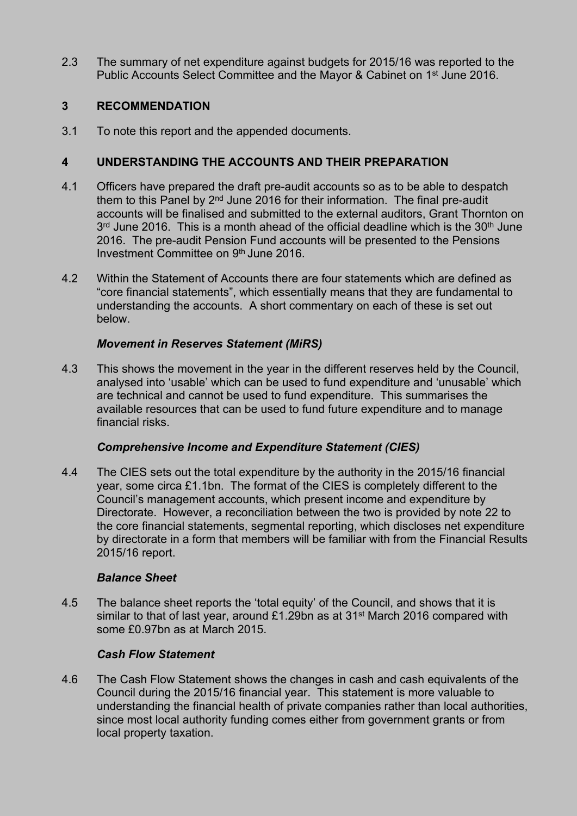2.3 The summary of net expenditure against budgets for 2015/16 was reported to the Public Accounts Select Committee and the Mayor & Cabinet on 1<sup>st</sup> June 2016.

# **3 RECOMMENDATION**

3.1 To note this report and the appended documents.

# **4 UNDERSTANDING THE ACCOUNTS AND THEIR PREPARATION**

- 4.1 Officers have prepared the draft pre-audit accounts so as to be able to despatch them to this Panel by 2<sup>nd</sup> June 2016 for their information. The final pre-audit accounts will be finalised and submitted to the external auditors, Grant Thornton on 3<sup>rd</sup> June 2016. This is a month ahead of the official deadline which is the 30<sup>th</sup> June 2016. The pre-audit Pension Fund accounts will be presented to the Pensions Investment Committee on 9th June 2016.
- 4.2 Within the Statement of Accounts there are four statements which are defined as "core financial statements", which essentially means that they are fundamental to understanding the accounts. A short commentary on each of these is set out below.

# *Movement in Reserves Statement (MiRS)*

4.3 This shows the movement in the year in the different reserves held by the Council, analysed into 'usable' which can be used to fund expenditure and 'unusable' which are technical and cannot be used to fund expenditure. This summarises the available resources that can be used to fund future expenditure and to manage financial risks.

# *Comprehensive Income and Expenditure Statement (CIES)*

4.4 The CIES sets out the total expenditure by the authority in the 2015/16 financial year, some circa £1.1bn. The format of the CIES is completely different to the Council's management accounts, which present income and expenditure by Directorate. However, a reconciliation between the two is provided by note 22 to the core financial statements, segmental reporting, which discloses net expenditure by directorate in a form that members will be familiar with from the Financial Results 2015/16 report.

# *Balance Sheet*

4.5 The balance sheet reports the 'total equity' of the Council, and shows that it is similar to that of last year, around £1.29bn as at 31<sup>st</sup> March 2016 compared with some £0.97bn as at March 2015.

# *Cash Flow Statement*

4.6 The Cash Flow Statement shows the changes in cash and cash equivalents of the Council during the 2015/16 financial year. This statement is more valuable to understanding the financial health of private companies rather than local authorities, since most local authority funding comes either from government grants or from local property taxation.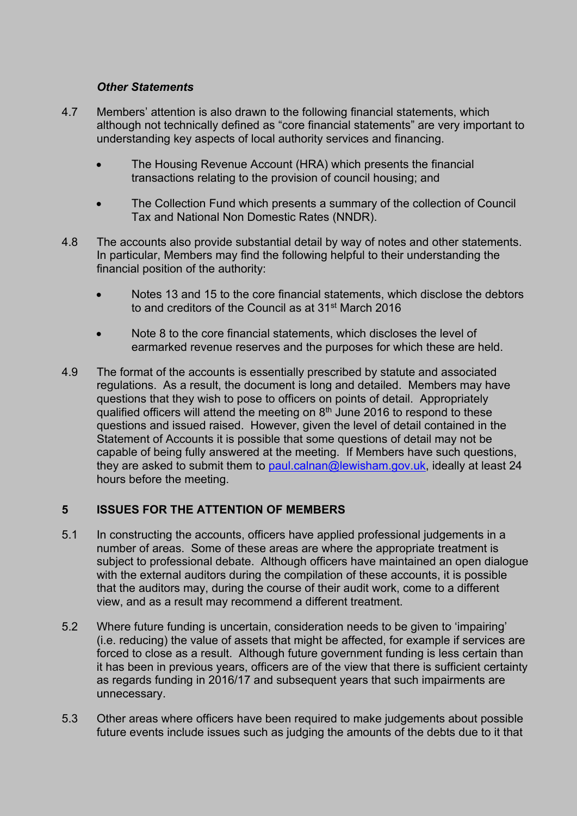# *Other Statements*

- 4.7 Members' attention is also drawn to the following financial statements, which although not technically defined as "core financial statements" are very important to understanding key aspects of local authority services and financing.
	- The Housing Revenue Account (HRA) which presents the financial transactions relating to the provision of council housing; and
	- The Collection Fund which presents a summary of the collection of Council Tax and National Non Domestic Rates (NNDR).
- 4.8 The accounts also provide substantial detail by way of notes and other statements. In particular, Members may find the following helpful to their understanding the financial position of the authority:
	- Notes 13 and 15 to the core financial statements, which disclose the debtors to and creditors of the Council as at 31st March 2016
	- Note 8 to the core financial statements, which discloses the level of earmarked revenue reserves and the purposes for which these are held.
- 4.9 The format of the accounts is essentially prescribed by statute and associated regulations. As a result, the document is long and detailed. Members may have questions that they wish to pose to officers on points of detail. Appropriately qualified officers will attend the meeting on  $8<sup>th</sup>$  June 2016 to respond to these questions and issued raised. However, given the level of detail contained in the Statement of Accounts it is possible that some questions of detail may not be capable of being fully answered at the meeting. If Members have such questions, they are asked to submit them to [paul.calnan@lewisham.gov.uk](mailto:paul.calnan@lewisham.gov.uk), ideally at least 24 hours before the meeting.

# **5 ISSUES FOR THE ATTENTION OF MEMBERS**

- 5.1 In constructing the accounts, officers have applied professional judgements in a number of areas. Some of these areas are where the appropriate treatment is subject to professional debate. Although officers have maintained an open dialogue with the external auditors during the compilation of these accounts, it is possible that the auditors may, during the course of their audit work, come to a different view, and as a result may recommend a different treatment.
- 5.2 Where future funding is uncertain, consideration needs to be given to 'impairing' (i.e. reducing) the value of assets that might be affected, for example if services are forced to close as a result. Although future government funding is less certain than it has been in previous years, officers are of the view that there is sufficient certainty as regards funding in 2016/17 and subsequent years that such impairments are unnecessary.
- 5.3 Other areas where officers have been required to make judgements about possible future events include issues such as judging the amounts of the debts due to it that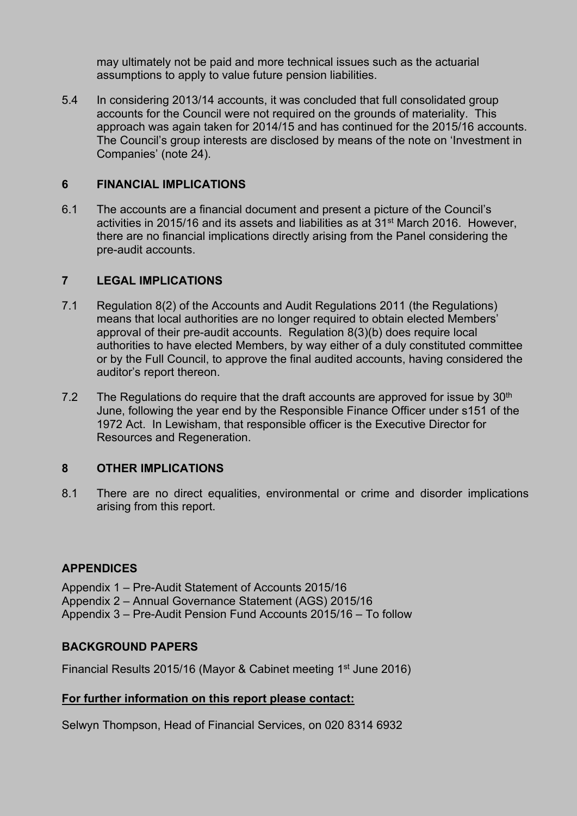may ultimately not be paid and more technical issues such as the actuarial assumptions to apply to value future pension liabilities.

5.4 In considering 2013/14 accounts, it was concluded that full consolidated group accounts for the Council were not required on the grounds of materiality. This approach was again taken for 2014/15 and has continued for the 2015/16 accounts. The Council's group interests are disclosed by means of the note on 'Investment in Companies' (note 24).

# **6 FINANCIAL IMPLICATIONS**

6.1 The accounts are a financial document and present a picture of the Council's activities in 2015/16 and its assets and liabilities as at 31st March 2016. However, there are no financial implications directly arising from the Panel considering the pre-audit accounts.

# **7 LEGAL IMPLICATIONS**

- 7.1 Regulation 8(2) of the Accounts and Audit Regulations 2011 (the Regulations) means that local authorities are no longer required to obtain elected Members' approval of their pre-audit accounts. Regulation 8(3)(b) does require local authorities to have elected Members, by way either of a duly constituted committee or by the Full Council, to approve the final audited accounts, having considered the auditor's report thereon.
- 7.2 The Regulations do require that the draft accounts are approved for issue by  $30<sup>th</sup>$ June, following the year end by the Responsible Finance Officer under s151 of the 1972 Act. In Lewisham, that responsible officer is the Executive Director for Resources and Regeneration.

# **8 OTHER IMPLICATIONS**

8.1 There are no direct equalities, environmental or crime and disorder implications arising from this report.

# **APPENDICES**

Appendix 1 – Pre-Audit Statement of Accounts 2015/16 Appendix 2 – Annual Governance Statement (AGS) 2015/16 Appendix 3 – Pre-Audit Pension Fund Accounts 2015/16 – To follow

# **BACKGROUND PAPERS**

Financial Results 2015/16 (Mayor & Cabinet meeting 1<sup>st</sup> June 2016)

# **For further information on this report please contact:**

Selwyn Thompson, Head of Financial Services, on 020 8314 6932